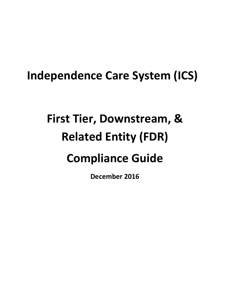# **Independence Care System (ICS)**

# **First Tier, Downstream, & Related Entity (FDR) Compliance Guide**

**December 2016**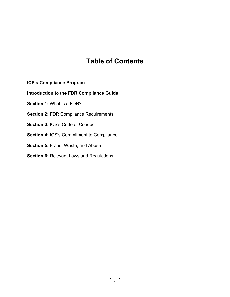# **Table of Contents**

- **ICS's Compliance Program**
- **Introduction to the FDR Compliance Guide**
- **Section 1:** What is a FDR?
- **Section 2:** FDR Compliance Requirements
- **Section 3:** ICS's Code of Conduct
- **Section 4:** ICS's Commitment to Compliance
- Section 5: Fraud, Waste, and Abuse
- **Section 6: Relevant Laws and Regulations**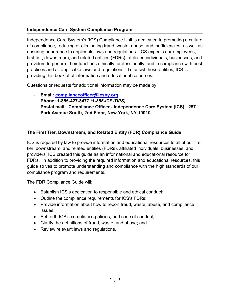### **Independence Care System Compliance Program**

Independence Care System's (ICS) Compliance Unit is dedicated to promoting a culture of compliance, reducing or eliminating fraud, waste, abuse, and inefficiencies, as well as ensuring adherence to applicable laws and regulations. ICS expects our employees, first tier, downstream, and related entities (FDRs), affiliated individuals, businesses, and providers to perform their functions ethically, professionally, and in compliance with best practices and all applicable laws and regulations. To assist these entities, ICS is providing this booklet of information and educational resources.

Questions or requests for additional information may be made by:

- **Email: [complianceofficer@icsny.org](mailto:complianceofficer@icsny.org)**
- **Phone: 1-855-427-8477** *(1-855-ICS-TIPS)*
- **Postal mail: Compliance Officer - Independence Care System (ICS); 257 Park Avenue South, 2nd Floor, New York, NY 10010**

# **The First Tier, Downstream, and Related Entity (FDR) Compliance Guide**

ICS is required by law to provide information and educational resources to all of our first tier, downstream, and related entities (FDRs), affiliated individuals, businesses, and providers. ICS created this guide as an informational and educational resource for FDRs. In addition to providing the required information and educational resources, this guide strives to promote understanding and compliance with the high standards of our compliance program and requirements.

The FDR Compliance Guide will:

- Establish ICS's dedication to responsible and ethical conduct;
- Outline the compliance requirements for ICS's FDRs;
- Provide information about how to report fraud, waste, abuse, and compliance issues;
- Set forth ICS's compliance policies, and code of conduct;
- Clarify the definitions of fraud, waste, and abuse; and
- Review relevant laws and regulations.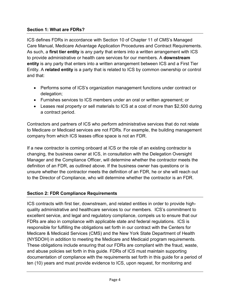#### **Section 1: What are FDRs?**

ICS defines FDRs in accordance with Section 10 of Chapter 11 of CMS's Managed Care Manual, Medicare Advantage Application Procedures and Contract Requirements. As such, a **first tier entity** is any party that enters into a written arrangement with ICS to provide administrative or health care services for our members. A **downstream entity** is any party that enters into a written arrangement between ICS and a First Tier Entity. A **related entity** is a party that is related to ICS by common ownership or control and that:

- Performs some of ICS's organization management functions under contract or delegation;
- Furnishes services to ICS members under an oral or written agreement; or
- Leases real property or sell materials to ICS at a cost of more than \$2,500 during a contract period.

Contractors and partners of ICS who perform administrative services that do not relate to Medicare or Medicaid services are not FDRs. For example, the building management company from which ICS leases office space is not an FDR.

If a new contractor is coming onboard at ICS or the role of an existing contractor is changing, the business owner at ICS, in consultation with the Delegation Oversight Manager and the Compliance Officer, will determine whether the contractor meets the definition of an FDR, as outlined above. If the business owner has questions or is unsure whether the contractor meets the definition of an FDR, he or she will reach out to the Director of Compliance, who will determine whether the contractor is an FDR.

#### **Section 2: FDR Compliance Requirements**

ICS contracts with first tier, downstream, and related entities in order to provide highquality administrative and healthcare services to our members. ICS's commitment to excellent service, and legal and regulatory compliance, compels us to ensure that our FDRs are also in compliance with applicable state and federal regulations. ICS is responsible for fulfilling the obligations set forth in our contract with the Centers for Medicare & Medicaid Services (CMS) and the New York State Department of Health (NYSDOH) in addition to meeting the Medicare and Medicaid program requirements. These obligations include ensuring that our FDRs are compliant with the fraud, waste, and abuse policies set forth in this guide. FDRs of ICS must maintain supporting documentation of compliance with the requirements set forth in this guide for a period of ten (10) years and must provide evidence to ICS, upon request, for monitoring and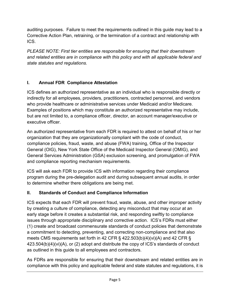auditing purposes. Failure to meet the requirements outlined in this guide may lead to a Corrective Action Plan, retraining, or the termination of a contract and relationship with ICS.

*PLEASE NOTE: First tier entities are responsible for ensuring that their downstream and related entities are in compliance with this policy and with all applicable federal and state statutes and regulations.* 

# **I. Annual FDR Compliance Attestation**

ICS defines an authorized representative as an individual who is responsible directly or indirectly for all employees, providers, practitioners, contracted personnel, and vendors who provide healthcare or administrative services under Medicaid and/or Medicare. Examples of positions which may constitute an authorized representative may include, but are not limited to, a compliance officer, director, an account manager/executive or executive officer.

An authorized representative from each FDR is required to attest on behalf of his or her organization that they are organizationally compliant with the code of conduct, compliance policies, fraud, waste, and abuse (FWA) training, Office of the Inspector General (OIG), New York State Office of the Medicaid Inspector General (OMIG), and General Services Administration (GSA) exclusion screening, and promulgation of FWA and compliance reporting mechanism requirements.

ICS will ask each FDR to provide ICS with information regarding their compliance program during the pre-delegation audit and during subsequent annual audits, in order to determine whether there obligations are being met.

# **II. Standards of Conduct and Compliance Information**

ICS expects that each FDR will prevent fraud, waste, abuse, and other improper activity by creating a culture of compliance, detecting any misconduct that may occur at an early stage before it creates a substantial risk, and responding swiftly to compliance issues through appropriate disciplinary and corrective action. ICS's FDRs must either (1) create and broadcast commensurate standards of conduct policies that demonstrate a commitment to detecting, preventing, and correcting non-compliance and that also meets CMS requirements set forth in 42 CFR § 422.503(b)(4)(vi)(A) and 42 CFR § 423.504(b)(4)(vi)(A), or (2) adopt and distribute the copy of ICS's standards of conduct as outlined in this guide to all employees and contractors.

As FDRs are responsible for ensuring that their downstream and related entities are in compliance with this policy and applicable federal and state statutes and regulations, it is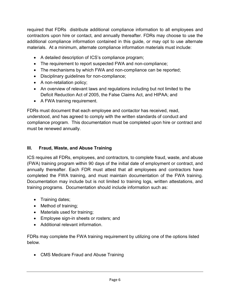required that FDRs distribute additional compliance information to all employees and contractors upon hire or contact, and annually thereafter. FDRs may choose to use the additional compliance information contained in this guide, or may opt to use alternate materials. At a minimum, alternate compliance information materials must include:

- A detailed description of ICS's compliance program;
- The requirement to report suspected FWA and non-compliance;
- The mechanisms by which FWA and non-compliance can be reported;
- Disciplinary guidelines for non-compliance;
- A non-retaliation policy;
- An overview of relevant laws and regulations including but not limited to the Deficit Reduction Act of 2005, the False Claims Act, and HIPAA; and
- A FWA training requirement.

FDRs must document that each employee and contactor has received, read, understood, and has agreed to comply with the written standards of conduct and compliance program. This documentation must be completed upon hire or contract and must be renewed annually.

### **III. Fraud, Waste, and Abuse Training**

ICS requires all FDRs, employees, and contractors, to complete fraud, waste, and abuse (FWA) training program within 90 days of the initial date of employment or contract, and annually thereafter. Each FDR must attest that all employees and contractors have completed the FWA training, and must maintain documentation of the FWA training. Documentation may include but is not limited to training logs, written attestations, and training programs. Documentation should include information such as:

- Training dates;
- Method of training;
- Materials used for training;
- Employee sign-in sheets or rosters; and
- Additional relevant information.

FDRs may complete the FWA training requirement by utilizing one of the options listed below.

• CMS Medicare Fraud and Abuse Training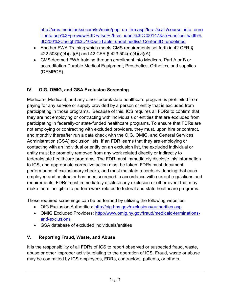[http://cms.meridianksi.com/kc/main/pop\\_up\\_frm.asp?loc=/kc/ilc/course\\_info\\_enro](http://cms.meridianksi.com/kc/main/pop_up_frm.asp?loc=/kc/ilc/course_info_enroll_info.asp%3Fpreview%3DFalse%26crs_ident%3DC00147&strFunction=width%3D200%2Cheight%3D100&strTable=undefined&strContentID=undefined) [ll\\_info.asp%3Fpreview%3DFalse%26crs\\_ident%3DC00147&strFunction=width%](http://cms.meridianksi.com/kc/main/pop_up_frm.asp?loc=/kc/ilc/course_info_enroll_info.asp%3Fpreview%3DFalse%26crs_ident%3DC00147&strFunction=width%3D200%2Cheight%3D100&strTable=undefined&strContentID=undefined) [3D200%2Cheight%3D100&strTable=undefined&strContentID=undefined](http://cms.meridianksi.com/kc/main/pop_up_frm.asp?loc=/kc/ilc/course_info_enroll_info.asp%3Fpreview%3DFalse%26crs_ident%3DC00147&strFunction=width%3D200%2Cheight%3D100&strTable=undefined&strContentID=undefined)

- Another FWA Training which meets CMS requirements set forth in 42 CFR § 422.503(b)(4)(vi)(A) and 42 CFR § 423.504(b)(4)(vi)(A)
- CMS deemed FWA training through enrollment into Medicare Part A or B or accreditation Durable Medical Equipment, Prosthetics, Orthotics, and supplies (DEMPOS).

# **IV. OIG, OMIG, and GSA Exclusion Screening**

Medicare, Medicaid, and any other federal/state healthcare program is prohibited from paying for any service or supply provided by a person or entity that is excluded from participating in those programs. Because of this, ICS requires all FDRs to confirm that they are not employing or contracting with individuals or entities that are excluded from participating in federally-or state-funded healthcare programs. To ensure that FDRs are not employing or contracting with excluded providers, they must, upon hire or contract, and monthly thereafter run a data check with the OIG, OMIG, and General Services Administration (GSA) exclusion lists. If an FDR learns that they are employing or contacting with an individual or entity on an exclusion list, the excluded individual or entity must be promptly removed from any work related directly or indirectly to federal/state healthcare programs. The FDR must immediately disclose this information to ICS, and appropriate corrective action must be taken. FDRs must document performance of exclusionary checks, and must maintain records evidencing that each employee and contractor has been screened in accordance with current regulations and requirements. FDRs must immediately disclose any exclusion or other event that may make them ineligible to perform work related to federal and state healthcare programs.

These required screenings can be performed by utilizing the following websites:

- OIG Exclusion Authorities:<http://oig.hhs.gov/exclusions/authorities.asp>
- OMIG Excluded Providers: [http://www.omig.ny.gov/fraud/medicaid-terminations](http://www.omig.ny.gov/fraud/medicaid-terminations-and-exclusions)[and-exclusions](http://www.omig.ny.gov/fraud/medicaid-terminations-and-exclusions)
- GSA database of excluded individuals/entities

# **V. Reporting Fraud, Waste, and Abuse**

It is the responsibility of all FDRs of ICS to report observed or suspected fraud, waste, abuse or other improper activity relating to the operation of ICS. Fraud, waste or abuse may be committed by ICS employees, FDRs, contractors, patients, or others.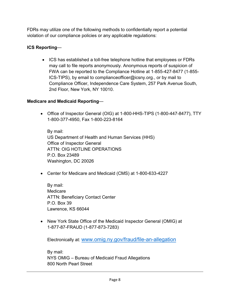FDRs may utilize one of the following methods to confidentially report a potential violation of our compliance policies or any applicable regulations:

# **ICS Reporting**—

• ICS has established a toll-free telephone hotline that employees or FDRs may call to file reports anonymously. Anonymous reports of suspicion of FWA can be reported to the Compliance Hotline at 1-855-427-8477 (1-855- ICS-TIPS), by email to complianceofficer@icsny.org., or by mail to Compliance Officer, Independence Care System, 257 Park Avenue South, 2nd Floor, New York, NY 10010.

# **Medicare and Medicaid Reporting**—

• Office of Inspector General (OIG) at 1-800-HHS-TIPS (1-800-447-8477), TTY 1-800-377-4950, Fax 1-800-223-8164

By mail: US Department of Health and Human Services (HHS) Office of Inspector General ATTN: OIG HOTLINE OPERATIONS P.O. Box 23489 Washington, DC 20026

• Center for Medicare and Medicaid (CMS) at 1-800-633-4227

By mail: Medicare ATTN: Beneficiary Contact Center P.O. Box 39 Lawrence, KS 66044

• New York State Office of the Medicaid Inspector General (OMIG) at 1-877-87-FRAUD (1-877-873-7283)

Electronically at: [www.omig.ny.gov/fraud/file-an-allegation](https://www.omig.ny.gov/index.php/fraud/file-an-allegation) 

By mail: NYS OMIG – Bureau of Medicaid Fraud Allegations 800 North Pearl Street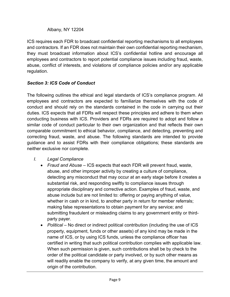#### Albany, NY 12204

ICS requires each FDR to broadcast confidential reporting mechanisms to all employees and contractors. If an FDR does not maintain their own confidential reporting mechanism, they must broadcast information about ICS's confidential hotline and encourage all employees and contractors to report potential compliance issues including fraud, waste, abuse, conflict of interests, and violations of compliance policies and/or any applicable regulation.

# *Section 3: ICS Code of Conduct*

The following outlines the ethical and legal standards of ICS's compliance program. All employees and contractors are expected to familiarize themselves with the code of conduct and should rely on the standards contained in the code in carrying out their duties. ICS expects that all FDRs will respect these principles and adhere to them when conducting business with ICS. Providers and FDRs are required to adopt and follow a similar code of conduct particular to their own organization and that reflects their own comparable commitment to ethical behavior, compliance, and detecting, preventing and correcting fraud, waste, and abuse. The following standards are intended to provide guidance and to assist FDRs with their compliance obligations; these standards are neither exclusive nor complete.

- *I. Legal Compliance*
	- *Fraud and Abuse* ICS expects that each FDR will prevent fraud, waste, abuse, and other improper activity by creating a culture of compliance, detecting any misconduct that may occur at an early stage before it creates a substantial risk, and responding swiftly to compliance issues through appropriate disciplinary and corrective action. Examples of fraud, waste, and abuse include but are not limited to: offering or paying anything of value, whether in cash or in kind, to another party in return for member referrals; making false representations to obtain payment for any service; and submitting fraudulent or misleading claims to any government entity or thirdparty payer.
	- *Political* No direct or indirect political contribution (including the use of ICS property, equipment, funds or other assets) of any kind may be made in the name of ICS, or by using ICS funds, unless the compliance officer has certified in writing that such political contribution complies with applicable law. When such permission is given, such contributions shall be by check to the order of the political candidate or party involved, or by such other means as will readily enable the company to verify, at any given time, the amount and origin of the contribution.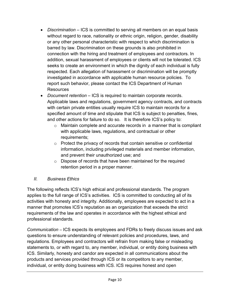- *Discrimination* ICS is committed to serving all members on an equal basis without regard to race, nationality or ethnic origin, religion, gender, disability or any other personal characteristic with respect to which discrimination is barred by law. Discrimination on these grounds is also prohibited in connection with the hiring and treatment of employees and contractors. In addition, sexual harassment of employees or clients will not be tolerated. ICS seeks to create an environment in which the dignity of each individual is fully respected. Each allegation of harassment or discrimination will be promptly investigated in accordance with applicable human resource policies. To report such behavior, please contact the ICS Department of Human Resources
- *Document retention –* ICS is required to maintain corporate records. Applicable laws and regulations, government agency contracts, and contracts with certain private entities usually require ICS to maintain records for a specified amount of time and stipulate that ICS is subject to penalties, fines, and other actions for failure to do so. It is therefore ICS's policy to:
	- $\circ$  Maintain complete and accurate records in a manner that is compliant with applicable laws, regulations, and contractual or other requirements;
	- o Protect the privacy of records that contain sensitive or confidential information, including privileged materials and member information, and prevent their unauthorized use; and
	- o Dispose of records that have been maintained for the required retention period in a proper manner.

#### *II. Business Ethics*

The following reflects ICS's high ethical and professional standards. The program applies to the full range of ICS's activities. ICS is committed to conducting all of its activities with honesty and integrity. Additionally, employees are expected to act in a manner that promotes ICS's reputation as an organization that exceeds the strict requirements of the law and operates in accordance with the highest ethical and professional standards.

*Communication –* ICS expects its employees and FDRs to freely discuss issues and ask questions to ensure understanding of relevant policies and procedures, laws, and regulations. Employees and contractors will refrain from making false or misleading statements to, or with regard to, any member, individual, or entity doing business with ICS. Similarly, honesty and candor are expected in all communications about the products and services provided through ICS or its competitors to any member, individual, or entity doing business with ICS. ICS requires honest and open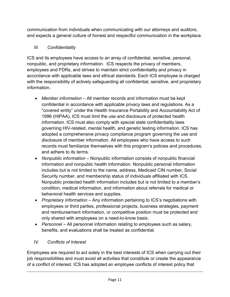communication from individuals when communicating with our attorneys and auditors, and expects a general culture of honest and respectful communication in the workplace.

# *III. Confidentiality*

ICS and its employees have access to an array of confidential, sensitive, personal, nonpublic, and proprietary information. ICS respects the privacy of members, employees and FDRs, and strives to maintain strict confidentiality and privacy in accordance with applicable laws and ethical standards. Each ICS employee is charged with the responsibility of actively safeguarding all confidential, sensitive, and proprietary information.

- *Member information –* All member records and information must be kept confidential in accordance with applicable privacy laws and regulations. As a "covered entity" under the Health Insurance Portability and Accountability Act of 1996 (HIPAA), ICS must limit the use and disclosure of protected health information. ICS must also comply with special state confidentiality laws governing HIV-related, mental health, and genetic testing information. ICS has adopted a comprehensive privacy compliance program governing the use and disclosure of member information. All employees who have access to such records must familiarize themselves with this program's policies and procedures, and adhere to its terms.
- *Nonpublic information –* Nonpublic information consists of nonpublic financial information and nonpublic health information. Nonpublic personal information includes but is not limited to the name, address, Medicaid CIN number, Social Security number, and membership status of individuals affiliated with ICS. Nonpublic protected health information includes but is not limited to a member's condition, medical information, and information about referrals for medical or behavioral health services and supplies.
- *Proprietary information –* Any information pertaining to ICS's negotiations with employees or third parties, professional projects, business strategies, payment and reimbursement information, or competitive position must be protected and only shared with employees on a need-to-know basis.
- *Personnel –* All personnel information relating to employees such as salary, benefits, and evaluations shall be treated as confidential.

# *IV. Conflicts of Interest*

Employees are required to act solely in the best interests of ICS when carrying out their job responsibilities and must avoid all activities that constitute or create the appearance of a conflict of interest. ICS has adopted an employee conflicts of interest policy that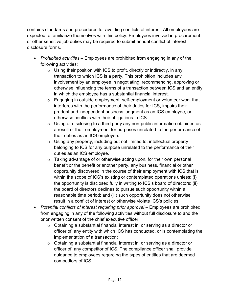contains standards and procedures for avoiding conflicts of interest. All employees are expected to familiarize themselves with this policy. Employees involved in procurement or other sensitive job duties may be required to submit annual conflict of interest disclosure forms.

- *Prohibited activities –* Employees are prohibited from engaging in any of the following activities:
	- $\circ$  Using their position with ICS to profit, directly or indirectly, in any transaction to which ICS is a party. This prohibition includes any involvement by an employee in negotiating, recommending, approving or otherwise influencing the terms of a transaction between ICS and an entity in which the employee has a substantial financial interest.
	- $\circ$  Engaging in outside employment, self-employment or volunteer work that interferes with the performance of their duties for ICS, impairs their prudent and independent business judgment as an ICS employee, or otherwise conflicts with their obligations to ICS.
	- $\circ$  Using or disclosing to a third party any non-public information obtained as a result of their employment for purposes unrelated to the performance of their duties as an ICS employee.
	- o Using any property, including but not limited to, intellectual property belonging to ICS for any purpose unrelated to the performance of their duties as an ICS employee.
	- $\circ$  Taking advantage of or otherwise acting upon, for their own personal benefit or the benefit or another party, any business, financial or other opportunity discovered in the course of their employment with ICS that is within the scope of ICS's existing or contemplated operations unless: (i) the opportunity is disclosed fully in writing to ICS's board of directors; (ii) the board of directors declines to pursue such opportunity within a reasonable time period; and (iii) such opportunity does not otherwise result in a conflict of interest or otherwise violate ICS's policies.
- *Potential conflicts of interest requiring prior approval –* Employees are prohibited from engaging in any of the following activities without full disclosure to and the prior written consent of the chief executive officer:
	- o Obtaining a substantial financial interest in, or serving as a director or officer of, any entity with which ICS has conducted, or is contemplating the implementation of a transaction;
	- o Obtaining a substantial financial interest in, or serving as a director or officer of, any competitor of ICS. The compliance officer shall provide guidance to employees regarding the types of entities that are deemed competitors of ICS.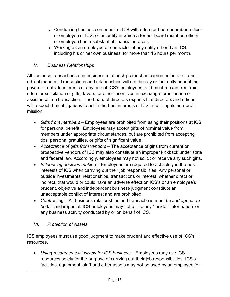- o Conducting business on behalf of ICS with a former board member, officer or employee of ICS, or an entity in which a former board member, officer or employee has a substantial financial interest.
- $\circ$  Working as an employee or contractor of any entity other than ICS, including his or her own business, for more than 16 hours per month.

### *V. Business Relationships*

All business transactions and business relationships must be carried out in a fair and ethical manner. Transactions and relationships will not directly or indirectly benefit the private or outside interests of any one of ICS's employees, and must remain free from offers or solicitation of gifts, favors, or other incentives in exchange for influence or assistance in a transaction. The board of directors expects that directors and officers will respect their obligations to act in the best interests of ICS in fulfilling its non-profit mission.

- *Gifts from members –* Employees are prohibited from using their positions at ICS for personal benefit. Employees may accept gifts of nominal value from members under appropriate circumstances, but are prohibited from accepting tips, personal gratuities, or gifts of significant value.
- *Acceptance of gifts from vendors –* The acceptance of gifts from current or prospective vendors of ICS may also constitute an improper kickback under state and federal law. Accordingly, employees may not solicit or receive any such gifts.
- *Influencing decision making –* Employees are required to act solely in the best interests of ICS when carrying out their job responsibilities. Any personal or outside investments, relationships, transactions or interest, whether direct or indirect, that would or could have an adverse effect on ICS's or an employee's prudent, objective and independent business judgment constitute an unacceptable conflict of interest and are prohibited.
- *Contracting –* All business relationships and transactions must *be and appear to be* fair and impartial. ICS employees may not utilize any "insider" information for any business activity conducted by or on behalf of ICS.

#### *VI. Protection of Assets*

ICS employees must use good judgment to make prudent and effective use of ICS's resources.

• *Using resources exclusively for ICS business –* Employees may use ICS resources solely for the purpose of carrying out their job responsibilities. ICS's facilities, equipment, staff and other assets may not be used by an employee for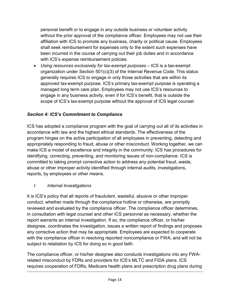personal benefit or to engage in any outside business or volunteer activity without the prior approval of the compliance officer. Employees may not use their affiliation with ICS to promote any business, charity or political cause. Employees shall seek reimbursement for expenses only to the extent such expenses have been incurred in the course of carrying out their job duties and in accordance with ICS's expense reimbursement policies.

• *Using resources exclusively for tax-exempt purposes –* ICS is a tax-exempt organization under Section 501(c)(3) of the Internal Revenue Code. This status generally requires ICS to engage in only those activities that are within its approved tax-exempt purpose. ICS's primary tax-exempt purpose is operating a managed long term care plan. Employees may not use ICS's resources to engage in any business activity, even if for ICS's benefit, that is outside the scope of ICS's tax-exempt purpose without the approval of ICS legal counsel.

# *Section 4: ICS's Commitment to Compliance*

ICS has adopted a compliance program with the goal of carrying out all of its activities in accordance with law and the highest ethical standards. The effectiveness of the program hinges on the active participation of all employees in preventing, detecting and appropriately responding to fraud, abuse or other misconduct. Working together, we can make ICS a model of excellence and integrity in the community. ICS has procedures for identifying, correcting, preventing, and monitoring issues of non-compliance. ICS is committed to taking prompt corrective action to address any potential fraud, waste, abuse or other improper activity identified through internal audits, investigations, reports, by employees or other means.

# *I. Internal Investigations*

It is ICS's policy that all reports of fraudulent, wasteful, abusive or other improper conduct, whether made through the compliance hotline or otherwise, are promptly reviewed and evaluated by the compliance officer. The compliance officer determines, in consultation with legal counsel and other ICS personnel as necessary, whether the report warrants an internal investigation. If so, the compliance officer, or his/her designee, coordinates the investigation, issues a written report of findings and proposes any corrective action that may be appropriate. Employees are expected to cooperate with the compliance officer in resolving reported noncompliance or FWA, and will not be subject to retaliation by ICS for doing so in good faith.

The compliance officer, or his/her designee also conducts investigations into any FWArelated misconduct by FDRs and providers for ICS's MLTC and FIDA plans. ICS requires cooperation of FDRs, Medicare health plans and prescription drug plans during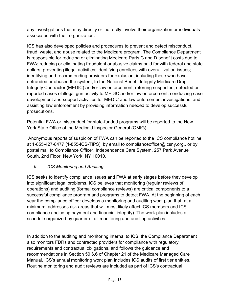any investigations that may directly or indirectly involve their organization or individuals associated with their organization.

ICS has also developed policies and procedures to prevent and detect misconduct, fraud, waste, and abuse related to the Medicare program. The Compliance Department is responsible for reducing or eliminating Medicare Parts C and D benefit costs due to FWA; reducing or eliminating fraudulent or abusive claims paid for with federal and state dollars; preventing illegal activities; identifying enrollees with overutilization issues; identifying and recommending providers for exclusion, including those who have defrauded or abused the system, to the National Benefit Integrity Medicare Drug Integrity Contractor (MEDIC) and/or law enforcement; referring suspected, detected or reported cases of illegal gun activity to MEDIC and/or law enforcement; conducting case development and support activities for MEDIC and law enforcement investigations; and assisting law enforcement by providing information needed to develop successful prosecutions.

Potential FWA or misconduct for state-funded programs will be reported to the New York State Office of the Medicaid Inspector General (OMIG).

Anonymous reports of suspicion of FWA can be reported to the ICS compliance hotline at 1-855-427-8477 (1-855-ICS-TIPS), by email to complianceofficer@icsny.org., or by postal mail to Compliance Officer, Independence Care System, 257 Park Avenue South, 2nd Floor, New York, NY 10010.

# *II. ICS Monitoring and Auditing*

ICS seeks to identify compliance issues and FWA at early stages before they develop into significant legal problems. ICS believes that monitoring (regular reviews of operations) and auditing (formal compliance reviews) are critical components to a successful compliance program and programs to detect FWA. At the beginning of each year the compliance officer develops a monitoring and auditing work plan that, at a minimum, addresses risk areas that will most likely affect ICS members and ICS compliance (including payment and financial integrity). The work plan includes a schedule organized by quarter of all monitoring and auditing activities.

In addition to the auditing and monitoring internal to ICS, the Compliance Department also monitors FDRs and contracted providers for compliance with regulatory requirements and contractual obligations, and follows the guidance and recommendations in Section 50.6.6 of Chapter 21 of the Medicare Managed Care Manual. ICS's annual monitoring work plan includes ICS audits of first tier entities. Routine monitoring and audit reviews are included as part of ICS's contractual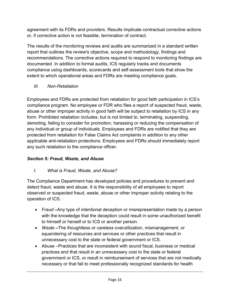agreement with its FDRs and providers. Results implicate contractual corrective actions or, if corrective action is not feasible, termination of contract.

The results of the monitoring reviews and audits are summarized in a standard written report that outlines the review's objective, scope and methodology, findings and recommendations. The corrective actions required to respond to monitoring findings are documented. In addition to formal audits, ICS regularly tracks and documents compliance using dashboards, scorecards and self-assessment tools that show the extent to which operational areas and FDRs are meeting compliance goals.

*III. Non-Retaliation*

Employees and FDRs are protected from retaliation for good faith participation in ICS's compliance program. No employee or FDR who files a report of suspected fraud, waste, abuse or other improper activity in good faith will be subject to retaliation by ICS in any form. Prohibited retaliation includes, but is not limited to, terminating, suspending, demoting, failing to consider for promotion, harassing or reducing the compensation of any individual or group of individuals. Employees and FDRs are notified that they are protected from retaliation for False Claims Act complaints in addition to any other applicable anti-retaliation protections. Employees and FDRs should immediately report any such retaliation to the compliance officer.

# *Section 5: Fraud, Waste, and Abuse*

# *I. What is Fraud, Waste, and Abuse?*

The Compliance Department has developed policies and procedures to prevent and detect fraud, waste and abuse. It is the responsibility of all employees to report observed or suspected fraud, waste, abuse or other improper activity relating to the operation of ICS.

- *Fraud –*Any type of intentional deception or misrepresentation made by a person with the knowledge that the deception could result in some unauthorized benefit to himself or herself or to ICS or another person.
- *Waste –*The thoughtless or careless overutilization, mismanagement, or squandering of resources and services or other practices that result in unnecessary cost to the state or federal government or ICS.
- Abuse –Practices that are inconsistent with sound fiscal, business or medical practices and that result in an unnecessary cost to the state or federal government or ICS, or result in reimbursement of services that are not medically necessary or that fail to meet professionally recognized standards for health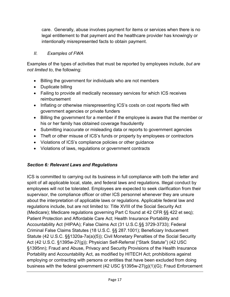care. Generally, abuse involves payment for items or services when there is no legal entitlement to that payment and the healthcare provider has knowingly or intentionally misrepresented facts to obtain payment.

# *II. Examples of FWA*

Examples of the types of activities that must be reported by employees include, *but are not limited to*, the following:

- Billing the government for individuals who are not members
- Duplicate billing
- Failing to provide all medically necessary services for which ICS receives reimbursement
- Inflating or otherwise misrepresenting ICS's costs on cost reports filed with government agencies or private funders
- Billing the government for a member if the employee is aware that the member or his or her family has obtained coverage fraudulently
- Submitting inaccurate or misleading data or reports to government agencies
- Theft or other misuse of ICS's funds or property by employees or contractors
- Violations of ICS's compliance policies or other guidance
- Violations of laws, regulations or government contracts

# *Section 6: Relevant Laws and Regulations*

ICS is committed to carrying out its business in full compliance with both the letter and spirit of all applicable local, state, and federal laws and regulations. Illegal conduct by employees will not be tolerated. Employees are expected to seek clarification from their supervisor, the compliance officer or other ICS personnel whenever they are unsure about the interpretation of applicable laws or regulations. Applicable federal law and regulations include, but are not limited to: Title XVIII of the Social Security Act (Medicare); Medicare regulations governing Part C found at 42 CFR §§ 422 et seq); Patient Protection and Affordable Care Act; Health Insurance Portability and Accountability Act (HIPAA); False Claims Act (31 U.S.C.§§ 3729-3733); Federal Criminal False Claims Statutes (18 U.S.C. §§ 287.1001); Beneficiary Inducement Statute (42 U.S.C. §§1320a-7a(a)(5)); Civil Monetary Penalties of the Social Security Act (42 U.S.C. §1395w-27(g)); Physician Self-Referral ("Stark Statute") (42 USC §1395nn); Fraud and Abuse, Privacy and Security Provisions of the Health Insurance Portability and Accountability Act, as modified by HITECH Act; prohibitions against employing or contracting with persons or entities that have been excluded from doing business with the federal government (42 USC §1395w-27(g)(1)(G); Fraud Enforcement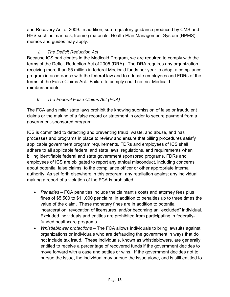and Recovery Act of 2009. In addition, sub-regulatory guidance produced by CMS and HHS such as manuals, training materials, Health Plan Management System (HPMS) memos and guides may apply.

# *I. The Deficit Reduction Act*

Because ICS participates in the Medicaid Program, we are required to comply with the terms of the Deficit Reduction Act of 2005 (DRA). The DRA requires any organization receiving more than \$5 million in federal Medicaid funds per year to adopt a compliance program in accordance with the federal law and to educate employees and FDRs of the terms of the False Claims Act. Failure to comply could restrict Medicaid reimbursements.

# *II. The Federal False Claims Act (FCA)*

The FCA and similar state laws prohibit the knowing submission of false or fraudulent claims or the making of a false record or statement in order to secure payment from a government-sponsored program.

ICS is committed to detecting and preventing fraud, waste, and abuse, and has processes and programs in place to review and ensure that billing procedures satisfy applicable government program requirements. FDRs and employees of ICS shall adhere to all applicable federal and state laws, regulations, and requirements when billing identifiable federal and state government sponsored programs. FDRs and employees of ICS are obligated to report any ethical misconduct, including concerns about potential false claims, to the compliance officer or other appropriate internal authority. As set forth elsewhere in this program, any retaliation against any individual making a report of a violation of the FCA is prohibited.

- *Penalties –* FCA penalties include the claimant's costs and attorney fees plus fines of \$5,500 to \$11,000 per claim, in addition to penalties up to three times the value of the claim. These monetary fines are in addition to potential incarceration, revocation of licensures, and/or becoming an "excluded" individual. Excluded individuals and entities are prohibited from participating in federallyfunded healthcare programs
- *Whistleblower protections –* The FCA allows individuals to bring lawsuits against organizations or individuals who are defrauding the government in ways that do not include tax fraud. These individuals, known as whistleblowers, are generally entitled to receive a percentage of recovered funds if the government decides to move forward with a case and settles or wins. If the government decides not to pursue the issue, the individual may pursue the issue alone, and is still entitled to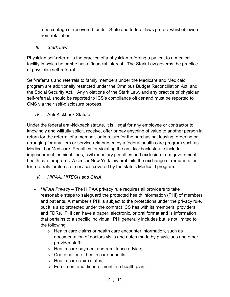a percentage of recovered funds. State and federal laws protect whistleblowers from retaliation.

# *III. Stark Law*

Physician self-referral is the practice of a physician referring a patient to a medical facility in which he or she has a financial interest. The Stark Law governs the practice of physician self-referral.

Self-referrals and referrals to family members under the Medicare and Medicaid program are additionally restricted under the Omnibus Budget Reconciliation Act, and the Social Security Act. Any violations of the Stark Law, and any practice of physician self-referral, should be reported to ICS's compliance officer and must be reported to CMS via their self-disclosure process.

*IV.* Anti-Kickback Statute

Under the federal anti-kickback statute, it is illegal for any employee or contractor to knowingly and willfully solicit, receive, offer or pay anything of value to another person in return for the referral of a member, or in return for the purchasing, leasing, ordering or arranging for any item or service reimbursed by a federal health care program such as Medicaid or Medicare. Penalties for violating the anti-kickback statute include imprisonment, criminal fines, civil monetary penalties and exclusion from government health care programs. A similar New York law prohibits the exchange of remuneration for referrals for items or services covered by the state's Medicaid program.

- *V. HIPAA, HITECH and GINA*
- *HIPAA Privacy –* The HIPAA privacy rule requires all providers to take reasonable steps to safeguard the protected health information (PHI) of members and patients. A member's PHI is subject to the protections under the privacy rule, but it is also protected under the contract ICS has with its members, providers, and FDRs. PHI can have a paper, electronic, or oral format and is information that pertains to a specific individual. PHI generally includes but is not limited to the following:
	- o Health care claims or health care encounter information, such as documentation of doctors visits and notes made by physicians and other provider staff;
	- o Health care payment and remittance advice;
	- o Coordination of health care benefits;
	- o Health care claim status;
	- $\circ$  Enrollment and disenrollment in a health plan;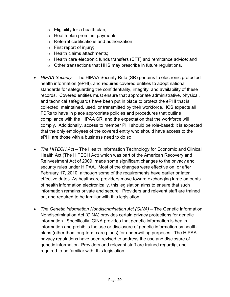- $\circ$  Eligibility for a health plan;
- o Health plan premium payments;
- o Referral certifications and authorization;
- o First report of injury;
- o Health claims attachments;
- o Health care electronic funds transfers (EFT) and remittance advice; and
- o Other transactions that HHS may prescribe in future regulations.
- *HIPAA Security –* The HIPAA Security Rule (SR) pertains to electronic protected health information (ePHI), and requires covered entities to adopt national standards for safeguarding the confidentiality, integrity, and availability of these records. Covered entities must ensure that appropriate administrative, physical, and technical safeguards have been put in place to protect the ePHI that is collected, maintained, used, or transmitted by their workforce. ICS expects all FDRs to have in place appropriate policies and procedures that outline compliance with the HIPAA SR, and the expectation that the workforce will comply. Additionally, access to member PHI should be role-based; it is expected that the only employees of the covered entity who should have access to the ePHI are those with a business need to do so.
- *The HITECH Act* The Health Information Technology for Economic and Clinical Health Act (The HITECH Act) which was part of the American Recovery and Reinvestment Act of 2009, made some significant changes to the privacy and security rules under HIPAA. Most of the changes were effective on, or after February 17, 2010, although some of the requirements have earlier or later effective dates. As healthcare providers move toward exchanging large amounts of health information electronically, this legislation aims to ensure that such information remains private and secure. Providers and relevant staff are trained on, and required to be familiar with this legislation.
- *The Genetic Information Nondiscrimination Act (GINA)* The Genetic Information Nondiscrimination Act (GINA) provides certain privacy protections for genetic information. Specifically, GINA provides that genetic information is health information and prohibits the use or disclosure of genetic information by health plans (other than long-term care plans) for underwriting purposes. The HIPAA privacy regulations have been revised to address the use and disclosure of genetic information. Providers and relevant staff are trained regardig, and required to be familiar with, this legislation.